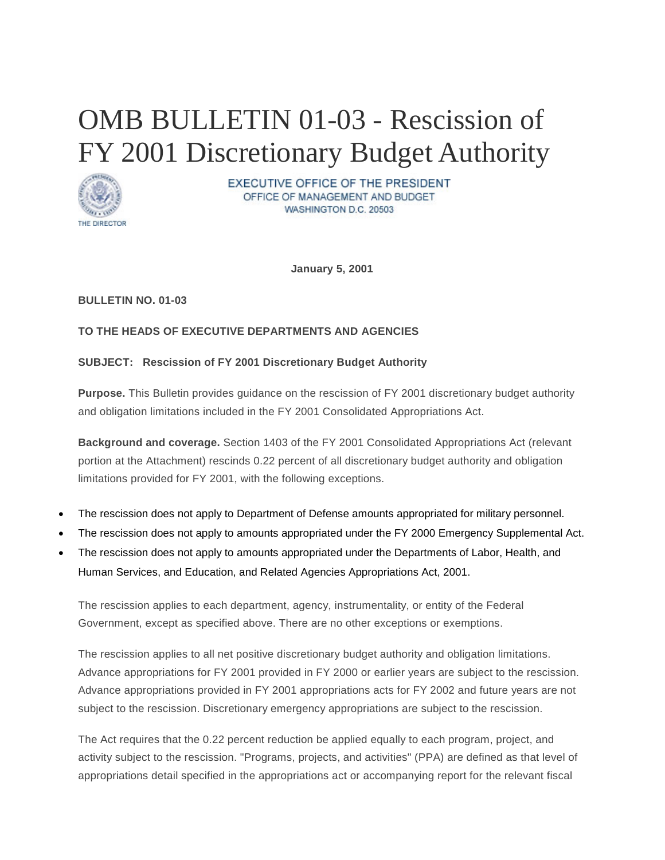# OMB BULLETIN 01-03 - Rescission of FY 2001 Discretionary Budget Authority



**EXECUTIVE OFFICE OF THE PRESIDENT** OFFICE OF MANAGEMENT AND BUDGET WASHINGTON D.C. 20503

**January 5, 2001**

## **BULLETIN NO. 01-03**

# **TO THE HEADS OF EXECUTIVE DEPARTMENTS AND AGENCIES**

## **SUBJECT: Rescission of FY 2001 Discretionary Budget Authority**

**Purpose.** This Bulletin provides guidance on the rescission of FY 2001 discretionary budget authority and obligation limitations included in the FY 2001 Consolidated Appropriations Act.

**Background and coverage.** Section 1403 of the FY 2001 Consolidated Appropriations Act (relevant portion at the Attachment) rescinds 0.22 percent of all discretionary budget authority and obligation limitations provided for FY 2001, with the following exceptions.

- The rescission does not apply to Department of Defense amounts appropriated for military personnel.
- The rescission does not apply to amounts appropriated under the FY 2000 Emergency Supplemental Act.
- The rescission does not apply to amounts appropriated under the Departments of Labor, Health, and Human Services, and Education, and Related Agencies Appropriations Act, 2001.

The rescission applies to each department, agency, instrumentality, or entity of the Federal Government, except as specified above. There are no other exceptions or exemptions.

The rescission applies to all net positive discretionary budget authority and obligation limitations. Advance appropriations for FY 2001 provided in FY 2000 or earlier years are subject to the rescission. Advance appropriations provided in FY 2001 appropriations acts for FY 2002 and future years are not subject to the rescission. Discretionary emergency appropriations are subject to the rescission.

The Act requires that the 0.22 percent reduction be applied equally to each program, project, and activity subject to the rescission. "Programs, projects, and activities" (PPA) are defined as that level of appropriations detail specified in the appropriations act or accompanying report for the relevant fiscal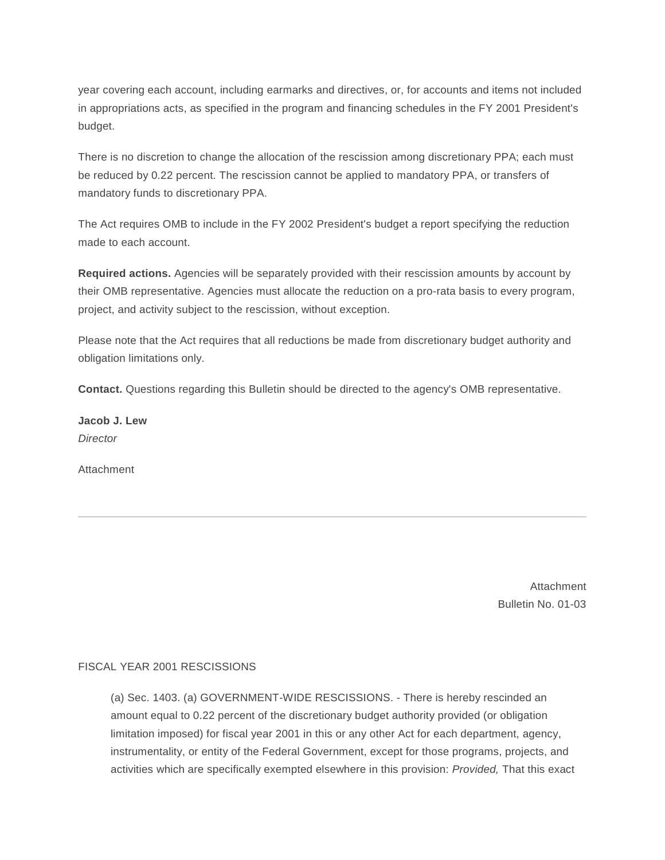year covering each account, including earmarks and directives, or, for accounts and items not included in appropriations acts, as specified in the program and financing schedules in the FY 2001 President's budget.

There is no discretion to change the allocation of the rescission among discretionary PPA; each must be reduced by 0.22 percent. The rescission cannot be applied to mandatory PPA, or transfers of mandatory funds to discretionary PPA.

The Act requires OMB to include in the FY 2002 President's budget a report specifying the reduction made to each account.

**Required actions.** Agencies will be separately provided with their rescission amounts by account by their OMB representative. Agencies must allocate the reduction on a pro-rata basis to every program, project, and activity subject to the rescission, without exception.

Please note that the Act requires that all reductions be made from discretionary budget authority and obligation limitations only.

**Contact.** Questions regarding this Bulletin should be directed to the agency's OMB representative.

**Jacob J. Lew** *Director*

Attachment

Attachment Bulletin No. 01-03

#### FISCAL YEAR 2001 RESCISSIONS

(a) Sec. 1403. (a) GOVERNMENT-WIDE RESCISSIONS. - There is hereby rescinded an amount equal to 0.22 percent of the discretionary budget authority provided (or obligation limitation imposed) for fiscal year 2001 in this or any other Act for each department, agency, instrumentality, or entity of the Federal Government, except for those programs, projects, and activities which are specifically exempted elsewhere in this provision: *Provided,* That this exact